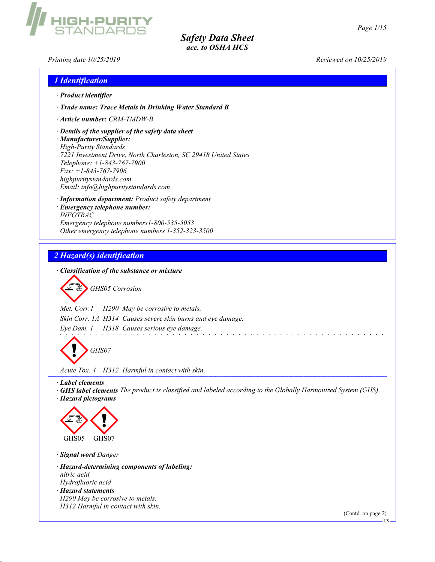Printing date 10/25/2019 Reviewed on 10/25/2019

# 1 Identification

- · Product identifier
- · Trade name: Trace Metals in Drinking Water Standard B
- · Article number: CRM-TMDW-B

**GH-PURI** 

· Details of the supplier of the safety data sheet · Manufacturer/Supplier: High-Purity Standards 7221 Investment Drive, North Charleston, SC 29418 United States Telephone: +1-843-767-7900 Fax: +1-843-767-7906 highpuritystandards.com Email: info@highpuritystandards.com

· Information department: Product safety department · Emergency telephone number: INFOTRAC Emergency telephone numbers1-800-535-5053 Other emergency telephone numbers 1-352-323-3500

# 2 Hazard(s) identification

· Classification of the substance or mixture

GHS05 Corrosion

Met. Corr.1 H290 May be corrosive to metals. Skin Corr. 1A H314 Causes severe skin burns and eye damage. Eye Dam. 1 H318 Causes serious eye damage.

GHS07

Acute Tox. 4 H312 Harmful in contact with skin.

· Label elements

· GHS label elements The product is classified and labeled according to the Globally Harmonized System (GHS). · Hazard pictograms



· Signal word Danger

· Hazard-determining components of labeling: nitric acid Hydrofluoric acid · Hazard statements H290 May be corrosive to metals. H312 Harmful in contact with skin.

(Contd. on page 2)

US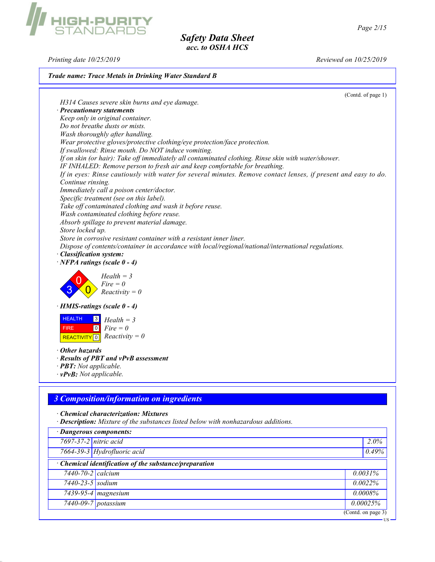# GH-PURI<br>FANDABE

# Safety Data Sheet acc. to OSHA HCS

Printing date 10/25/2019 Reviewed on 10/25/2019

## Trade name: Trace Metals in Drinking Water Standard B

(Contd. of page 1)

H314 Causes severe skin burns and eye damage. · Precautionary statements Keep only in original container. Do not breathe dusts or mists. Wash thoroughly after handling. Wear protective gloves/protective clothing/eye protection/face protection. If swallowed: Rinse mouth. Do NOT induce vomiting. If on skin (or hair): Take off immediately all contaminated clothing. Rinse skin with water/shower. IF INHALED: Remove person to fresh air and keep comfortable for breathing. If in eyes: Rinse cautiously with water for several minutes. Remove contact lenses, if present and easy to do. Continue rinsing. Immediately call a poison center/doctor. Specific treatment (see on this label). Take off contaminated clothing and wash it before reuse. Wash contaminated clothing before reuse. Absorb spillage to prevent material damage. Store locked up. Store in corrosive resistant container with a resistant inner liner. Dispose of contents/container in accordance with local/regional/national/international regulations. · Classification system:  $\cdot$  NFPA ratings (scale 0 - 4) 3 0  $\overline{\mathbf{0}}$  $Health = 3$  $Fire = 0$  $Reactivity = 0$ · HMIS-ratings (scale 0 - 4) **HEALTH**  FIRE REACTIVITY 0  $\vert 3 \vert$  $\boxed{0}$  $Health = 3$  $Fire = 0$  $Reactivity = 0$ · Other hazards · Results of PBT and vPvB assessment · PBT: Not applicable.  $\cdot$  vPvB: Not applicable. 3 Composition/information on ingredients · Chemical characterization: Mixtures · Description: Mixture of the substances listed below with nonhazardous additions.

| 7697-37-2 nitric acid<br>7664-39-3 Hydrofluoric acid<br>• Chemical identification of the substance/preparation<br>7440-70-2 calcium<br>0.0031%<br>7440-23-5 sodium<br>0.0022%<br>7439-95-4 magnesium<br>$0.0008\%$<br>7440-09-7 potassium<br>0.00025% | · Dangerous components: |  |  |                                                |  |
|-------------------------------------------------------------------------------------------------------------------------------------------------------------------------------------------------------------------------------------------------------|-------------------------|--|--|------------------------------------------------|--|
|                                                                                                                                                                                                                                                       |                         |  |  | $2.0\%$                                        |  |
|                                                                                                                                                                                                                                                       |                         |  |  | 0.49%                                          |  |
|                                                                                                                                                                                                                                                       |                         |  |  |                                                |  |
|                                                                                                                                                                                                                                                       |                         |  |  |                                                |  |
|                                                                                                                                                                                                                                                       |                         |  |  |                                                |  |
|                                                                                                                                                                                                                                                       |                         |  |  |                                                |  |
|                                                                                                                                                                                                                                                       |                         |  |  |                                                |  |
|                                                                                                                                                                                                                                                       |                         |  |  | $\overline{(\text{Contd. on page 3})}$<br>- US |  |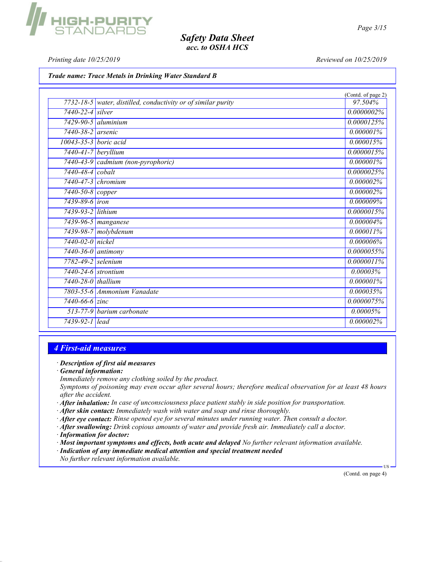Printing date  $10/25/2019$  Reviewed on  $10/25/2019$ 

GH-PURI<br>TANDARE

Trade name: Trace Metals in Drinking Water Standard B

|                           |                                                               | (Contd. of page 2) |
|---------------------------|---------------------------------------------------------------|--------------------|
|                           | 7732-18-5 water, distilled, conductivity or of similar purity | 97.504%            |
| $7440 - 22 - 4$ silver    |                                                               | 0.0000002%         |
|                           | $7429 - 90 - 5$ aluminium                                     | 0.0000125%         |
| $7440 - 38 - 2$ arsenic   |                                                               | $0.000001\%$       |
| 10043-35-3 boric acid     |                                                               | 0.000015%          |
| $7440-41-7$ beryllium     |                                                               | 0.0000015%         |
|                           | 7440-43-9 cadmium (non-pyrophoric)                            | $0.000001\%$       |
| $7440 - 48 - 4$ cobalt    |                                                               | 0.0000025%         |
|                           | $7440 - 47 - 3$ chromium                                      | 0.000002%          |
| $7440 - 50 - 8$ copper    |                                                               | 0.000002%          |
| $7439 - 89 - 6$ iron      |                                                               | 0.000009%          |
| 7439-93-2 lithium         |                                                               | 0.0000015%         |
|                           | $\overline{7439-96-5}$ manganese                              | $0.000004\%$       |
|                           | 7439-98-7 molybdenum                                          | 0.000011%          |
| 7440-02-0 nickel          |                                                               | 0.000006%          |
| 7440-36-0 antimony        |                                                               | 0.0000055%         |
| 7782-49-2 selenium        |                                                               | 0.0000011%         |
| $7440 - 24 - 6$ strontium |                                                               | 0.00003%           |
| $7440 - 28 - 0$ thallium  |                                                               | $0.000001\%$       |
|                           | 7803-55-6 Ammonium Vanadate                                   | 0.000035%          |
| $7440 - 66 - 6$ zinc      |                                                               | 0.0000075%         |
|                           | 513-77-9 <i>barium carbonate</i>                              | 0.00005%           |
| 7439-92-1 lead            |                                                               | 0.000002%          |

# 4 First-aid measures

#### · Description of first aid measures

· General information:

Immediately remove any clothing soiled by the product.

Symptoms of poisoning may even occur after several hours; therefore medical observation for at least 48 hours after the accident.

- $\cdot$  **After inhalation:** In case of unconsciousness place patient stably in side position for transportation.
- $\cdot$  **After skin contact:** Immediately wash with water and soap and rinse thoroughly.
- · After eye contact: Rinse opened eye for several minutes under running water. Then consult a doctor.
- · After swallowing: Drink copious amounts of water and provide fresh air. Immediately call a doctor.
- · Information for doctor:
- · Most important symptoms and effects, both acute and delayed No further relevant information available.
- · Indication of any immediate medical attention and special treatment needed
- No further relevant information available.

(Contd. on page 4)

US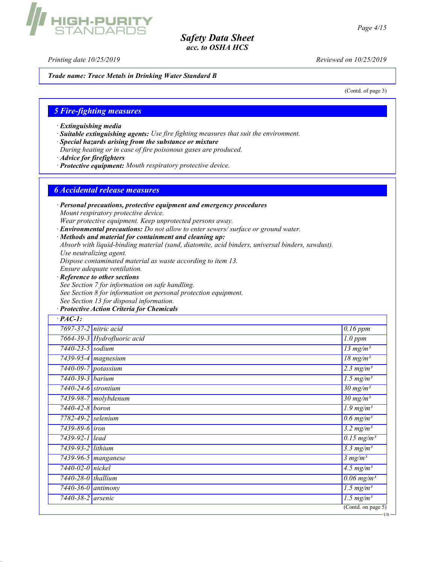Printing date 10/25/2019 Reviewed on 10/25/2019

Trade name: Trace Metals in Drinking Water Standard B

(Contd. of page 3)

# 5 Fire-fighting measures

IIGH-PURIT<br>STANDABD!

- · Extinguishing media
- · Suitable extinguishing agents: Use fire fighting measures that suit the environment.
- · Special hazards arising from the substance or mixture
- During heating or in case of fire poisonous gases are produced.
- · Advice for firefighters
- · Protective equipment: Mouth respiratory protective device.

## 6 Accidental release measures

- · Personal precautions, protective equipment and emergency procedures Mount respiratory protective device. Wear protective equipment. Keep unprotected persons away.
- · Environmental precautions: Do not allow to enter sewers/ surface or ground water.
- · Methods and material for containment and cleaning up: Absorb with liquid-binding material (sand, diatomite, acid binders, universal binders, sawdust). Use neutralizing agent. Dispose contaminated material as waste according to item 13. Ensure adequate ventilation. · Reference to other sections
- See Section 7 for information on safe handling. See Section 8 for information on personal protection equipment. See Section 13 for disposal information.

# · Protective Action Criteria for Chemicals

| $·$ <i>PAC-1</i> :          |                                     |                                        |
|-----------------------------|-------------------------------------|----------------------------------------|
|                             | 7697-37-2 nitric acid               | $0.16$ ppm                             |
|                             | 7664-39-3 Hydrofluoric acid         | $\overline{1}.0$ ppm                   |
| $7440 - 23 - 5$ sodium      |                                     | $13$ mg/m <sup>3</sup>                 |
|                             | 7439-95-4 magnesium                 | $\frac{18 \text{ mg}}{m^3}$            |
| 7440-09-7 potassium         |                                     | $2.3$ mg/m <sup>3</sup>                |
| 7440-39-3 barium            |                                     | $1.5$ mg/m <sup>3</sup>                |
| $7440 - 24 - 6$ strontium   |                                     | $\frac{30 \text{ mg}}{m}$ <sup>3</sup> |
|                             | 7439-98-7 molybdenum                | $\frac{30 \text{ mg}}{m^3}$            |
| 7440-42-8 boron             |                                     | $\overline{1.9 \text{ mg}}/m^3$        |
| 7782-49-2 selenium          |                                     | $\overline{0.6 \text{ mg/m}^3}$        |
| 7439-89-6 <i>iron</i>       |                                     | $3.2 \frac{mg}{m^3}$                   |
| 7439-92-1 lead              |                                     | $0.15$ mg/m <sup>3</sup>               |
| 7439-93-2 lithium           |                                     | $3.3 \text{ mg/m}^3$                   |
|                             | $\overline{743}9$ -96-5   manganese | 3 mg/m <sup>3</sup>                    |
| 7440-02-0 nickel            |                                     | 4.5 $mg/m^3$                           |
| $7440 - 28 - 0$ thallium    |                                     | $\overline{0.06}$ mg/m <sup>3</sup>    |
| $\sqrt{7440-36-0}$ antimony |                                     | $\overline{1.5 \text{ mg/m}^3}$        |
| 7440-38-2 arsenic           |                                     | $\overline{1.5 \text{ mg}}/m^3$        |
|                             |                                     | $($ Contd. on page 5 $)$               |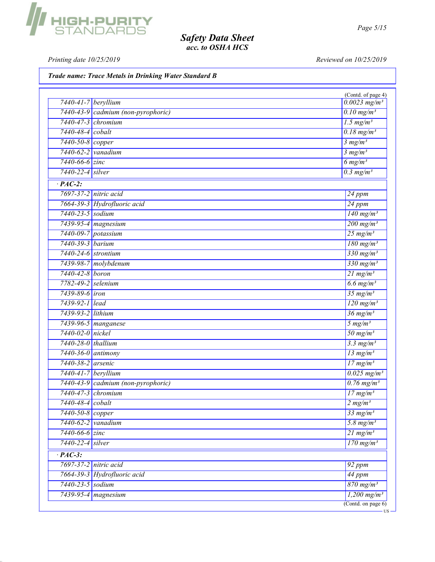Printing date 10/25/2019 Reviewed on 10/25/2019

Trade name: Trace Metals in Drinking Water Standard B

| $7440 - 41 - 7$ beryllium |                                    | (Contd. of page 4)<br>$0.0023$ mg/m <sup>3</sup> |
|---------------------------|------------------------------------|--------------------------------------------------|
|                           | 7440-43-9 cadmium (non-pyrophoric) | $0.10$ mg/m <sup>3</sup>                         |
| 7440-47-3 chromium        |                                    | $1.5$ mg/m <sup>3</sup>                          |
| 7440-48-4 cobalt          |                                    | $0.18$ mg/m <sup>3</sup>                         |
| 7440-50-8 copper          |                                    | 3 mg/m <sup>3</sup>                              |
| 7440-62-2 vanadium        |                                    | 3 mg/m <sup>3</sup>                              |
| $7440 - 66 - 6$ zinc      |                                    | $6$ mg/m <sup>3</sup>                            |
| 7440-22-4 silver          |                                    | $0.3$ mg/m <sup>3</sup>                          |
|                           |                                    |                                                  |
| $\cdot$ PAC-2:            |                                    |                                                  |
| 7697-37-2 nitric acid     |                                    | $\overline{24\ ppm}$                             |
|                           | 7664-39-3 Hydrofluoric acid        | $\frac{24}{24}$ ppm                              |
| 7440-23-5 sodium          |                                    | $\frac{140 \text{ mg/m}^3}{250 \text{ mg/m}^3}$  |
|                           | 7439-95-4 magnesium                | $200$ mg/m <sup>3</sup>                          |
| 7440-09-7 potassium       |                                    | $25 \ mg/m^3$                                    |
| 7440-39-3 barium          |                                    | $180$ mg/m <sup>3</sup>                          |
| 7440-24-6 strontium       |                                    | $330$ mg/m <sup>3</sup>                          |
|                           | 7439-98-7 molybdenum               | $330$ mg/m <sup>3</sup>                          |
| 7440-42-8 boron           |                                    | $21$ mg/m <sup>3</sup>                           |
| 7782-49-2 selenium        |                                    | $6.6$ mg/m <sup>3</sup>                          |
| 7439-89-6 <i>iron</i>     |                                    | $35$ mg/m <sup>3</sup>                           |
| 7439-92-1 lead            |                                    | $\frac{120 \text{ mg/m}^3}{\text{mg/m}^3}$       |
| 7439-93-2 lithium         |                                    | $36$ mg/m <sup>3</sup>                           |
|                           | 7439-96-5 manganese                | $5 \ mg/m^3$                                     |
| 7440-02-0 nickel          |                                    | $50 \frac{mg}{m^3}$                              |
| 7440-28-0 thallium        |                                    | $3.3$ mg/m <sup>3</sup>                          |
| $7440-36-0$ antimony      |                                    | $13$ mg/m <sup>3</sup>                           |
| 7440-38-2 arsenic         |                                    | $17$ mg/m <sup>3</sup>                           |
| 7440-41-7 beryllium       |                                    | $0.025$ mg/m <sup>3</sup>                        |
|                           | 7440-43-9 cadmium (non-pyrophoric) | $0.76$ mg/m <sup>3</sup>                         |
| 7440-47-3 chromium        |                                    | $17$ mg/m <sup>3</sup>                           |
| 7440-48-4 cobalt          |                                    | 2 mg/m <sup>3</sup>                              |
| 7440-50-8 copper          |                                    | $33$ mg/m <sup>3</sup>                           |
| $7440-62-2$ vanadium      |                                    | 5.8 mg/ $m^3$                                    |
| 7440-66-6 zinc            |                                    | $21 \text{ mg/m}^3$                              |
| 7440-22-4 silver          |                                    | $\frac{170 \text{ mg/m}^3}{250 \text{ mg/m}^3}$  |
| $\cdot$ PAC-3:            |                                    |                                                  |
| 7697-37-2 nitric acid     |                                    | 92 ppm                                           |
|                           | 7664-39-3 Hydrofluoric acid        | 44 ppm                                           |
| 7440-23-5 sodium          |                                    | $870$ mg/m <sup>3</sup>                          |
|                           | 7439-95-4 magnesium                | $1,200 \text{ mg/m}^3$                           |

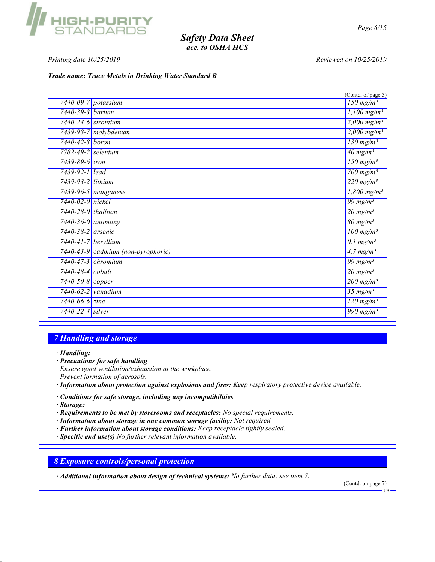Printing date  $10/25/2019$  Reviewed on  $10/25/2019$ 

**IIGH-PURITY**<br>STANDARDS

Trade name: Trace Metals in Drinking Water Standard B

| $\frac{150 \text{ mg}}{m^3}$<br>7440-09-7 potassium<br>$1,100$ mg/m <sup>3</sup><br>7440-39-3 <i>barium</i><br>$2,000$ mg/m <sup>3</sup><br>$7440 - 24 - 6$ strontium<br>7439-98-7 molybdenum<br>$2,000 \,\mathrm{mg/m^3}$<br>7440-42-8 boron<br>$130$ mg/m <sup>3</sup><br>$40 \text{ mg/m}^3$<br>7782-49-2 selenium<br>$\overline{150}$ mg/m <sup>3</sup><br>7439-89-6 iron<br>$700$ mg/m <sup>3</sup><br>7439-92-1 lead<br>$\sqrt{220 \text{ mg/m}^3}$<br>7439-93-2 lithium<br>7439-96-5 manganese<br>$\frac{1,800 \text{ mg/m}^3}{2}$<br>$\frac{99 \text{ mg}}{m^3}$<br>7440-02-0 nickel<br>$\frac{20 \text{ mg}}{m}$ <sup>3</sup><br>7440-28-0 thallium<br>$80 \frac{\text{mg}}{\text{m}}\text{s/m}^3$<br>$7440 - 36 - 0$ antimony<br>7440-38-2 arsenic<br>$100$ mg/m <sup>3</sup><br>$0.1$ mg/m <sup>3</sup><br>$7440 - 41 - 7$ beryllium<br>7440-43-9 cadmium (non-pyrophoric)<br>$\frac{4.7 \text{ mg}}{m^3}$<br>7440-47-3 chromium<br>$\frac{99}{mg/m^3}$<br>$20 \frac{\text{mg}}{\text{m}}$<br>7440-48-4 cobalt<br>7440-50-8 copper<br>$200$ mg/m <sup>3</sup><br>$7440-62-2$ vanadium<br>$35 \,\mathrm{mg/m^3}$<br>$\frac{120 \text{ mg}}{m^3}$<br>$7440 - 66 - 6$ zinc<br>$\frac{990 \text{ mg}}{m}$<br>$7440-22-4$ silver |  | (Contd. of page 5) |
|----------------------------------------------------------------------------------------------------------------------------------------------------------------------------------------------------------------------------------------------------------------------------------------------------------------------------------------------------------------------------------------------------------------------------------------------------------------------------------------------------------------------------------------------------------------------------------------------------------------------------------------------------------------------------------------------------------------------------------------------------------------------------------------------------------------------------------------------------------------------------------------------------------------------------------------------------------------------------------------------------------------------------------------------------------------------------------------------------------------------------------------------------------------------------------------------------------------------------------------|--|--------------------|
|                                                                                                                                                                                                                                                                                                                                                                                                                                                                                                                                                                                                                                                                                                                                                                                                                                                                                                                                                                                                                                                                                                                                                                                                                                        |  |                    |
|                                                                                                                                                                                                                                                                                                                                                                                                                                                                                                                                                                                                                                                                                                                                                                                                                                                                                                                                                                                                                                                                                                                                                                                                                                        |  |                    |
|                                                                                                                                                                                                                                                                                                                                                                                                                                                                                                                                                                                                                                                                                                                                                                                                                                                                                                                                                                                                                                                                                                                                                                                                                                        |  |                    |
|                                                                                                                                                                                                                                                                                                                                                                                                                                                                                                                                                                                                                                                                                                                                                                                                                                                                                                                                                                                                                                                                                                                                                                                                                                        |  |                    |
|                                                                                                                                                                                                                                                                                                                                                                                                                                                                                                                                                                                                                                                                                                                                                                                                                                                                                                                                                                                                                                                                                                                                                                                                                                        |  |                    |
|                                                                                                                                                                                                                                                                                                                                                                                                                                                                                                                                                                                                                                                                                                                                                                                                                                                                                                                                                                                                                                                                                                                                                                                                                                        |  |                    |
|                                                                                                                                                                                                                                                                                                                                                                                                                                                                                                                                                                                                                                                                                                                                                                                                                                                                                                                                                                                                                                                                                                                                                                                                                                        |  |                    |
|                                                                                                                                                                                                                                                                                                                                                                                                                                                                                                                                                                                                                                                                                                                                                                                                                                                                                                                                                                                                                                                                                                                                                                                                                                        |  |                    |
|                                                                                                                                                                                                                                                                                                                                                                                                                                                                                                                                                                                                                                                                                                                                                                                                                                                                                                                                                                                                                                                                                                                                                                                                                                        |  |                    |
|                                                                                                                                                                                                                                                                                                                                                                                                                                                                                                                                                                                                                                                                                                                                                                                                                                                                                                                                                                                                                                                                                                                                                                                                                                        |  |                    |
|                                                                                                                                                                                                                                                                                                                                                                                                                                                                                                                                                                                                                                                                                                                                                                                                                                                                                                                                                                                                                                                                                                                                                                                                                                        |  |                    |
|                                                                                                                                                                                                                                                                                                                                                                                                                                                                                                                                                                                                                                                                                                                                                                                                                                                                                                                                                                                                                                                                                                                                                                                                                                        |  |                    |
|                                                                                                                                                                                                                                                                                                                                                                                                                                                                                                                                                                                                                                                                                                                                                                                                                                                                                                                                                                                                                                                                                                                                                                                                                                        |  |                    |
|                                                                                                                                                                                                                                                                                                                                                                                                                                                                                                                                                                                                                                                                                                                                                                                                                                                                                                                                                                                                                                                                                                                                                                                                                                        |  |                    |
|                                                                                                                                                                                                                                                                                                                                                                                                                                                                                                                                                                                                                                                                                                                                                                                                                                                                                                                                                                                                                                                                                                                                                                                                                                        |  |                    |
|                                                                                                                                                                                                                                                                                                                                                                                                                                                                                                                                                                                                                                                                                                                                                                                                                                                                                                                                                                                                                                                                                                                                                                                                                                        |  |                    |
|                                                                                                                                                                                                                                                                                                                                                                                                                                                                                                                                                                                                                                                                                                                                                                                                                                                                                                                                                                                                                                                                                                                                                                                                                                        |  |                    |
|                                                                                                                                                                                                                                                                                                                                                                                                                                                                                                                                                                                                                                                                                                                                                                                                                                                                                                                                                                                                                                                                                                                                                                                                                                        |  |                    |
|                                                                                                                                                                                                                                                                                                                                                                                                                                                                                                                                                                                                                                                                                                                                                                                                                                                                                                                                                                                                                                                                                                                                                                                                                                        |  |                    |
|                                                                                                                                                                                                                                                                                                                                                                                                                                                                                                                                                                                                                                                                                                                                                                                                                                                                                                                                                                                                                                                                                                                                                                                                                                        |  |                    |
|                                                                                                                                                                                                                                                                                                                                                                                                                                                                                                                                                                                                                                                                                                                                                                                                                                                                                                                                                                                                                                                                                                                                                                                                                                        |  |                    |
|                                                                                                                                                                                                                                                                                                                                                                                                                                                                                                                                                                                                                                                                                                                                                                                                                                                                                                                                                                                                                                                                                                                                                                                                                                        |  |                    |

## 7 Handling and storage

· Handling:

- · Precautions for safe handling
- Ensure good ventilation/exhaustion at the workplace.
- Prevent formation of aerosols.
- · Information about protection against explosions and fires: Keep respiratory protective device available.
- · Conditions for safe storage, including any incompatibilities
- · Storage:
- · Requirements to be met by storerooms and receptacles: No special requirements.
- · Information about storage in one common storage facility: Not required.
- · Further information about storage conditions: Keep receptacle tightly sealed.
- · Specific end use(s) No further relevant information available.

8 Exposure controls/personal protection

· Additional information about design of technical systems: No further data; see item 7.

(Contd. on page 7)

US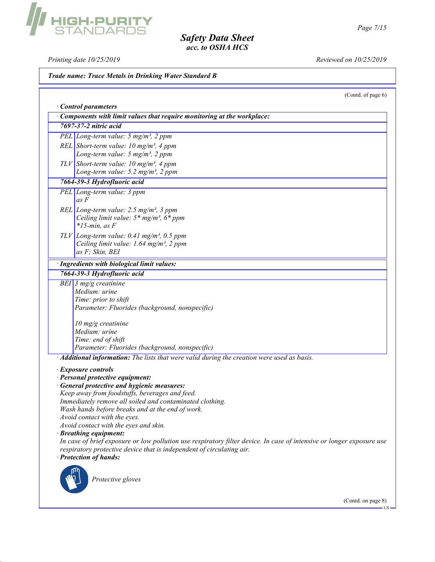Printing date  $10/25/2019$  Reviewed on  $10/25/2019$ 

# Trade name: Trace Metals in Drinking Water Standard B

(Contd. of page 6)

| Components with limit values that require monitoring at the workplace:                                                                                                                                                                                                                                                                                                      |
|-----------------------------------------------------------------------------------------------------------------------------------------------------------------------------------------------------------------------------------------------------------------------------------------------------------------------------------------------------------------------------|
| 7697-37-2 nitric acid                                                                                                                                                                                                                                                                                                                                                       |
| PEL Long-term value: $5 \text{ mg/m}^3$ , $2 \text{ ppm}$                                                                                                                                                                                                                                                                                                                   |
| REL Short-term value: $10 \text{ mg/m}^3$ , 4 ppm                                                                                                                                                                                                                                                                                                                           |
| Long-term value: $5 \text{ mg/m}^3$ , $2 \text{ ppm}$                                                                                                                                                                                                                                                                                                                       |
| TLV Short-term value: 10 mg/m <sup>3</sup> , 4 ppm<br>Long-term value: 5.2 mg/m <sup>3</sup> , 2 ppm                                                                                                                                                                                                                                                                        |
| 7664-39-3 Hydrofluoric acid                                                                                                                                                                                                                                                                                                                                                 |
| PEL Long-term value: 3 ppm<br>$as \, F$                                                                                                                                                                                                                                                                                                                                     |
| REL Long-term value: $2.5$ mg/m <sup>3</sup> , 3 ppm<br>Ceiling limit value: $5*$ mg/m <sup>3</sup> , $6*$ ppm<br>$*15$ -min, as F                                                                                                                                                                                                                                          |
| $TLV$ Long-term value: 0.41 mg/m <sup>3</sup> , 0.5 ppm<br>Ceiling limit value: 1.64 mg/m <sup>3</sup> , 2 ppm<br>as F; Skin, BEI                                                                                                                                                                                                                                           |
| · Ingredients with biological limit values:                                                                                                                                                                                                                                                                                                                                 |
| 7664-39-3 Hydrofluoric acid                                                                                                                                                                                                                                                                                                                                                 |
| Medium: urine<br>Time: prior to shift<br>Parameter: Fluorides (background, nonspecific)                                                                                                                                                                                                                                                                                     |
| 10 mg/g creatinine                                                                                                                                                                                                                                                                                                                                                          |
| Medium: urine                                                                                                                                                                                                                                                                                                                                                               |
| Time: end of shift                                                                                                                                                                                                                                                                                                                                                          |
| Parameter: Fluorides (background, nonspecific)                                                                                                                                                                                                                                                                                                                              |
| · Additional information: The lists that were valid during the creation were used as basis.                                                                                                                                                                                                                                                                                 |
| · Exposure controls<br>· Personal protective equipment:<br>· General protective and hygienic measures:<br>Keep away from foodstuffs, beverages and feed.<br>Immediately remove all soiled and contaminated clothing.<br>Wash hands before breaks and at the end of work.<br>Avoid contact with the eyes.<br>Avoid contact with the eyes and skin.<br>· Breathing equipment: |
| In case of brief exposure or low pollution use respiratory filter device. In case of intensive or longer exposure use<br>respiratory protective device that is independent of circulating air.<br>· Protection of hands:<br>Protective gloves                                                                                                                               |
|                                                                                                                                                                                                                                                                                                                                                                             |

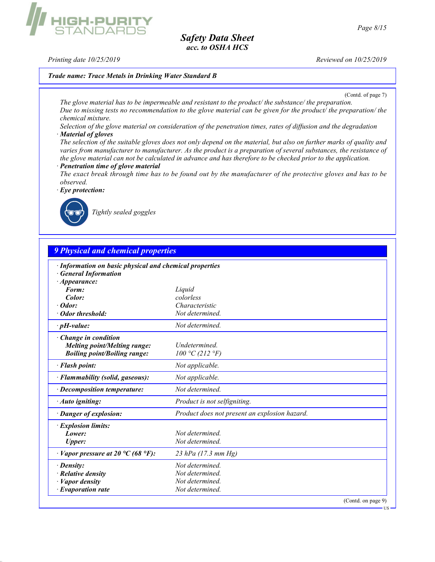Printing date  $10/25/2019$  Reviewed on  $10/25/2019$ 

#### Trade name: Trace Metals in Drinking Water Standard B



The glove material has to be impermeable and resistant to the product/ the substance/ the preparation. Due to missing tests no recommendation to the glove material can be given for the product/ the preparation/ the chemical mixture.

Selection of the glove material on consideration of the penetration times, rates of diffusion and the degradation · Material of gloves

The selection of the suitable gloves does not only depend on the material, but also on further marks of quality and varies from manufacturer to manufacturer. As the product is a preparation of several substances, the resistance of the glove material can not be calculated in advance and has therefore to be checked prior to the application.

· Penetration time of glove material

The exact break through time has to be found out by the manufacturer of the protective gloves and has to be observed.

· Eye protection:



Tightly sealed goggles

# 9 Physical and chemical properties

| Information on basic physical and chemical properties |                                               |
|-------------------------------------------------------|-----------------------------------------------|
| <b>General Information</b>                            |                                               |
| $\cdot$ Appearance:                                   |                                               |
| Form:                                                 | Liquid                                        |
| Color:                                                | colorless                                     |
| $\cdot$ Odor:                                         | Characteristic                                |
| · Odor threshold:                                     | Not determined.                               |
| $\cdot$ pH-value:                                     | Not determined.                               |
| · Change in condition                                 |                                               |
| <b>Melting point/Melting range:</b>                   | <i>Undetermined</i>                           |
| <b>Boiling point/Boiling range:</b>                   | 100 °C (212 °F)                               |
| · Flash point:                                        | Not applicable.                               |
| · Flammability (solid, gaseous):                      | Not applicable.                               |
| $\cdot$ Decomposition temperature:                    | Not determined.                               |
| · Auto igniting:                                      | Product is not selfigniting.                  |
| · Danger of explosion:                                | Product does not present an explosion hazard. |
| · Explosion limits:                                   |                                               |
| Lower:                                                | Not determined.                               |
| Upper:                                                | Not determined.                               |
| $\cdot$ Vapor pressure at 20 °C (68 °F):              | 23 hPa (17.3 mm Hg)                           |
| $\cdot$ Density:                                      | Not determined.                               |
| $\cdot$ Relative density                              | Not determined.                               |
| · Vapor density                                       | Not determined.                               |
| $\cdot$ Evaporation rate                              | Not determined.                               |
|                                                       | (Contd. on page 9)                            |
|                                                       | $US -$                                        |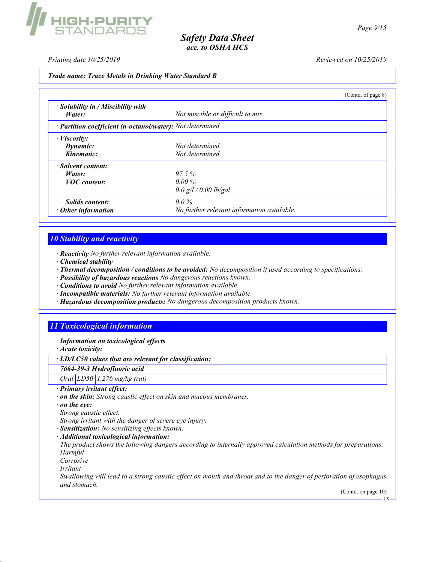

Printing date 10/25/2019 Reviewed on 10/25/2019

#### Trade name: Trace Metals in Drinking Water Standard B

|                                                                         |                                            | (Contd. of page 8) |
|-------------------------------------------------------------------------|--------------------------------------------|--------------------|
| $\cdot$ Solubility in / Miscibility with                                |                                            |                    |
| Water:                                                                  | Not miscible or difficult to mix.          |                    |
| $\cdot$ <b>Partition coefficient (n-octanol/water):</b> Not determined. |                                            |                    |
| $\cdot$ Viscosity:                                                      |                                            |                    |
| Dynamic:                                                                | Not determined.                            |                    |
| Kinematic:                                                              | Not determined.                            |                    |
| · Solvent content:                                                      |                                            |                    |
| Water:                                                                  | 97.5%                                      |                    |
| <b>VOC</b> content:                                                     | $0.00\%$                                   |                    |
|                                                                         | 0.0 g/l / 0.00 lb/gal                      |                    |
| <i>Solids content:</i>                                                  | $0.0\%$                                    |                    |
| $\cdot$ Other information                                               | No further relevant information available. |                    |

# 10 Stability and reactivity

· Reactivity No further relevant information available.

- · Chemical stability
- · Thermal decomposition / conditions to be avoided: No decomposition if used according to specifications.
- · Possibility of hazardous reactions No dangerous reactions known.
- · Conditions to avoid No further relevant information available.
- · Incompatible materials: No further relevant information available.
- · Hazardous decomposition products: No dangerous decomposition products known.

# 11 Toxicological information

· Information on toxicological effects

· Acute toxicity:

· LD/LC50 values that are relevant for classification:

7664-39-3 Hydrofluoric acid

Oral LD50 1,276 mg/kg (rat)

· Primary irritant effect:

· on the skin: Strong caustic effect on skin and mucous membranes.

on the eye:

Strong caustic effect.

Strong irritant with the danger of severe eye injury.

- · Sensitization: No sensitizing effects known.
- · Additional toxicological information:

The product shows the following dangers according to internally approved calculation methods for preparations: Harmful

Corrosive

Irritant

Swallowing will lead to a strong caustic effect on mouth and throat and to the danger of perforation of esophagus and stomach.

(Contd. on page 10) <sub>118</sub>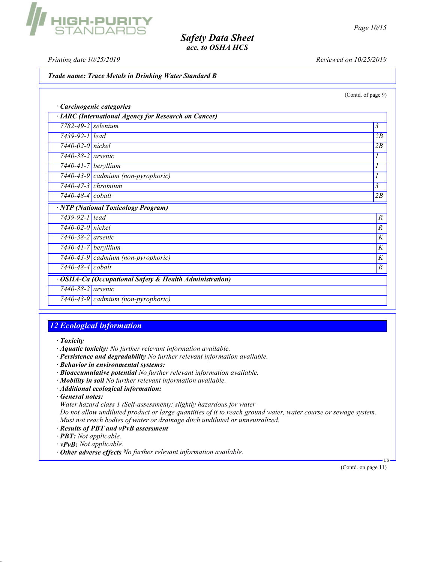Printing date  $10/25/2019$  Reviewed on  $10/25/2019$ 

Trade name: Trace Metals in Drinking Water Standard B

(Contd. of page 9)

| · Carcinogenic categories                                        |                                     |                         |
|------------------------------------------------------------------|-------------------------------------|-------------------------|
| · IARC (International Agency for Research on Cancer)             |                                     |                         |
| $7782 - 49 - 2$ selenium                                         |                                     | 3                       |
| 7439-92-1 lead                                                   |                                     | 2B                      |
| 7440-02-0 nickel                                                 |                                     | 2B                      |
| $7440 - 38 - 2$ arsenic                                          |                                     |                         |
| $7440 - 41 - 7$ beryllium                                        |                                     |                         |
|                                                                  | 7440-43-9 cadmium (non-pyrophoric)  |                         |
| $7440 - 47 - 3$ chromium                                         |                                     | $\overline{\mathbf{3}}$ |
| 7440-48-4 cobalt                                                 |                                     | 2B                      |
|                                                                  | · NTP (National Toxicology Program) |                         |
| 7439-92-1 lead                                                   |                                     | $\boldsymbol{R}$        |
| 7440-02-0 nickel                                                 |                                     | $\boldsymbol{R}$        |
| $7440 - 38 - 2$ arsenic                                          |                                     | $\overline{K}$          |
| $7440 - 41 - 7$ beryllium                                        |                                     | $\overline{K}$          |
|                                                                  | 7440-43-9 cadmium (non-pyrophoric)  | $\overline{K}$          |
| 7440-48-4 cobalt                                                 |                                     | $\boldsymbol{R}$        |
| <b>OSHA-Ca (Occupational Safety &amp; Health Administration)</b> |                                     |                         |
| 7440-38-2 arsenic                                                |                                     |                         |
|                                                                  | 7440-43-9 cadmium (non-pyrophoric)  |                         |

# 12 Ecological information

· Toxicity

- · Aquatic toxicity: No further relevant information available.
- · Persistence and degradability No further relevant information available.
- · Behavior in environmental systems:
- · Bioaccumulative potential No further relevant information available.
- · Mobility in soil No further relevant information available.
- · Additional ecological information:
- · General notes:
- Water hazard class 1 (Self-assessment): slightly hazardous for water

Do not allow undiluted product or large quantities of it to reach ground water, water course or sewage system. Must not reach bodies of water or drainage ditch undiluted or unneutralized.

- · Results of PBT and vPvB assessment
- · PBT: Not applicable.
- · vPvB: Not applicable.
- · Other adverse effects No further relevant information available.

(Contd. on page 11)

US

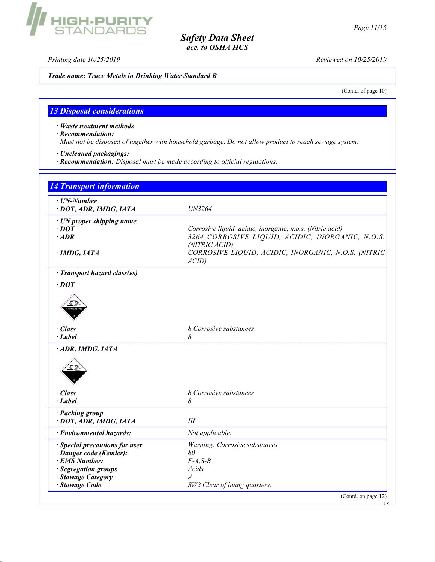Printing date 10/25/2019 Reviewed on 10/25/2019

Trade name: Trace Metals in Drinking Water Standard B

(Contd. of page 10)

# 13 Disposal considerations

**HIGH-PURITY**<br>STANDARDS

· Waste treatment methods

· Recommendation:

Must not be disposed of together with household garbage. Do not allow product to reach sewage system.

· Uncleaned packagings:

· Recommendation: Disposal must be made according to official regulations.

| $\cdot$ UN-Number                         |                                                                   |
|-------------------------------------------|-------------------------------------------------------------------|
| · DOT, ADR, IMDG, IATA                    | UN3264                                                            |
| $\cdot$ UN proper shipping name           |                                                                   |
| $\cdot$ DOT                               | Corrosive liquid, acidic, inorganic, n.o.s. (Nitric acid)         |
| $\cdot$ ADR                               | 3264 CORROSIVE LIQUID, ACIDIC, INORGANIC, N.O.S.<br>(NITRIC ACID) |
| $\cdot$ IMDG, IATA                        | CORROSIVE LIQUID, ACIDIC, INORGANIC, N.O.S. (NITRIC<br>ACID       |
| · Transport hazard class(es)              |                                                                   |
| $\cdot$ DOT                               |                                                                   |
|                                           |                                                                   |
| $\cdot$ Class<br>· Label                  | 8 Corrosive substances<br>8                                       |
| ADR, IMDG, IATA                           |                                                                   |
|                                           |                                                                   |
| $\cdot$ Class                             | 8 Corrosive substances                                            |
| $\cdot$ Label                             | 8                                                                 |
| · Packing group<br>· DOT, ADR, IMDG, IATA | $I\!I\!I$                                                         |
| · Environmental hazards:                  | Not applicable.                                                   |
| · Special precautions for user            | Warning: Corrosive substances                                     |
| · Danger code (Kemler):                   | 80                                                                |
| · EMS Number:                             | $F-A, S-B$                                                        |
| · Segregation groups                      | Acids                                                             |
| · Stowage Category                        | $\overline{A}$                                                    |
| Stowage Code                              | SW2 Clear of living quarters.                                     |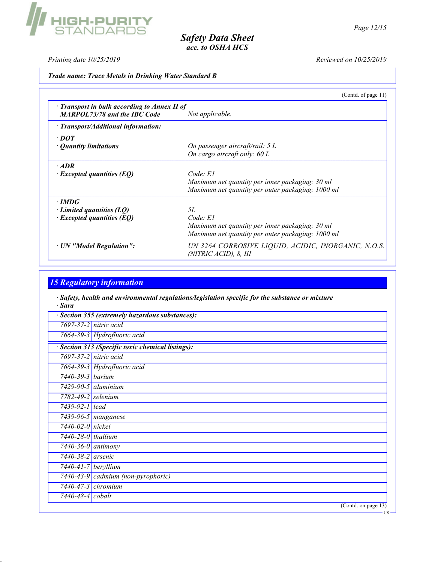Printing date  $10/25/2019$  Reviewed on  $10/25/2019$ 

## Trade name: Trace Metals in Drinking Water Standard B

|                                                                                           | (Contd. of page $11$ )                                                       |
|-------------------------------------------------------------------------------------------|------------------------------------------------------------------------------|
| $\cdot$ Transport in bulk according to Annex II of<br><b>MARPOL73/78 and the IBC Code</b> | Not applicable.                                                              |
| $\cdot$ Transport/Additional information:                                                 |                                                                              |
| $\cdot$ DOT                                                                               |                                                                              |
| • <i>Ouantity limitations</i>                                                             | On passenger aircraft/rail: 5 L                                              |
|                                                                                           | On cargo aircraft only: 60 L                                                 |
| $\cdot$ ADR                                                                               |                                                                              |
| $\cdot$ Excepted quantities (EQ)                                                          | Code: El                                                                     |
|                                                                                           | Maximum net quantity per inner packaging: 30 ml                              |
|                                                                                           | Maximum net quantity per outer packaging: 1000 ml                            |
| $\cdot$ IMDG                                                                              |                                                                              |
| $\cdot$ Limited quantities (LQ)                                                           | 5L                                                                           |
| $\cdot$ Excepted quantities (EQ)                                                          | Code: El                                                                     |
|                                                                                           | Maximum net quantity per inner packaging: 30 ml                              |
|                                                                                           | Maximum net quantity per outer packaging: 1000 ml                            |
| · UN "Model Regulation":                                                                  | UN 3264 CORROSIVE LIQUID, ACIDIC, INORGANIC, N.O.S.<br>(NITRIC ACID), 8, III |

# 15 Regulatory information

· Safety, health and environmental regulations/legislation specific for the substance or mixture · Sara

|                                | · Section 355 (extremely hazardous substances):   |
|--------------------------------|---------------------------------------------------|
|                                | 7697-37-2 nitric acid                             |
|                                | 7664-39-3 Hydrofluoric acid                       |
|                                | · Section 313 (Specific toxic chemical listings): |
|                                | 7697-37-2 nitric acid                             |
|                                | 7664-39-3 Hydrofluoric acid                       |
| 7440-39-3 barium               |                                                   |
|                                | $\overline{7429}$ -90-5 aluminium                 |
| 7782-49-2 selenium             |                                                   |
| 7439-92-1 lead                 |                                                   |
|                                | $\sqrt{7439-96-5}$ manganese                      |
| $7440 - 02 - 0$ nickel         |                                                   |
| $7440-28-0$ thallium           |                                                   |
| $7440 - 36 - 0$ antimony       |                                                   |
| $7440 - 38 - 2$ arsenic        |                                                   |
| $7440 - 41 - 7$ beryllium      |                                                   |
|                                | 7440-43-9 cadmium (non-pyrophoric)                |
|                                | $7440 - 47 - 3$ chromium                          |
| $\overline{7440}$ -48-4 cobalt |                                                   |
|                                | (Cond. on page 13)                                |
|                                | – US –                                            |

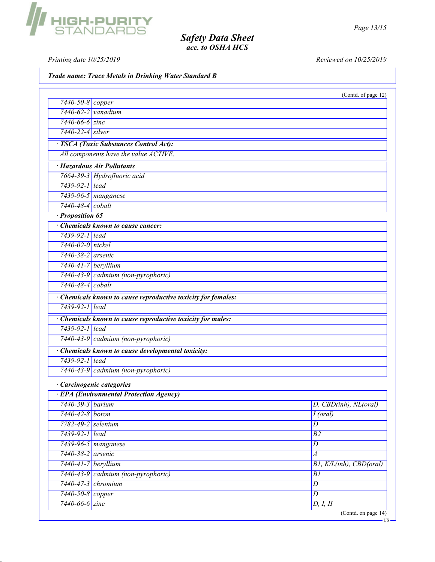Printing date 10/25/2019 Reviewed on 10/25/2019

Trade name: Trace Metals in Drinking Water Standard B

|                               |                                                             | (Contd. of page 12)     |
|-------------------------------|-------------------------------------------------------------|-------------------------|
| $\sqrt{7440 - 50 - 8}$ copper |                                                             |                         |
| 7440-62-2 vanadium            |                                                             |                         |
| $7440 - 66 - 6$ zinc          |                                                             |                         |
| 7440-22-4 silver              |                                                             |                         |
|                               | · TSCA (Toxic Substances Control Act):                      |                         |
|                               | All components have the value ACTIVE.                       |                         |
|                               | · Hazardous Air Pollutants                                  |                         |
|                               | 7664-39-3 Hydrofluoric acid                                 |                         |
| 7439-92-1 lead                |                                                             |                         |
|                               | 7439-96-5 manganese                                         |                         |
| 7440-48-4 cobalt              |                                                             |                         |
| · Proposition 65              |                                                             |                         |
|                               | Chemicals known to cause cancer:                            |                         |
| 7439-92-1 lead                |                                                             |                         |
| 7440-02-0 nickel              |                                                             |                         |
| 7440-38-2 arsenic             |                                                             |                         |
| 7440-41-7 beryllium           |                                                             |                         |
|                               | 7440-43-9 cadmium (non-pyrophoric)                          |                         |
| 7440-48-4 cobalt              |                                                             |                         |
|                               | Chemicals known to cause reproductive toxicity for females: |                         |
| 7439-92-1 lead                |                                                             |                         |
|                               | · Chemicals known to cause reproductive toxicity for males: |                         |
| 7439-92-1 lead                |                                                             |                         |
|                               | 7440-43-9 cadmium (non-pyrophoric)                          |                         |
|                               | · Chemicals known to cause developmental toxicity:          |                         |
| 7439-92-1 lead                |                                                             |                         |
|                               | 7440-43-9 cadmium (non-pyrophoric)                          |                         |
|                               | · Carcinogenic categories                                   |                         |
|                               | · EPA (Environmental Protection Agency)                     |                         |
| 7440-39-3 barium              |                                                             | D, CBD(inh), NL(oral)   |
| 7440-42-8 boron               |                                                             | $I$ (oral)              |
| 7782-49-2 selenium            |                                                             | $\overline{D}$          |
| 7439-92-1 lead                |                                                             | $\overline{B2}$         |
|                               | 7439-96-5 <i>manganese</i>                                  | $\overline{D}$          |
| 7440-38-2 arsenic             |                                                             | $\boldsymbol{A}$        |
| 7440-41-7 beryllium           |                                                             | BI, K/L(inh), CBD(oral) |
|                               | 7440-43-9 cadmium (non-pyrophoric)                          | B1                      |
|                               | $7440 - 47 - 3$ chromium                                    | $\boldsymbol{D}$        |
| 7440-50-8 copper              |                                                             | $\overline{D}$          |
|                               |                                                             |                         |

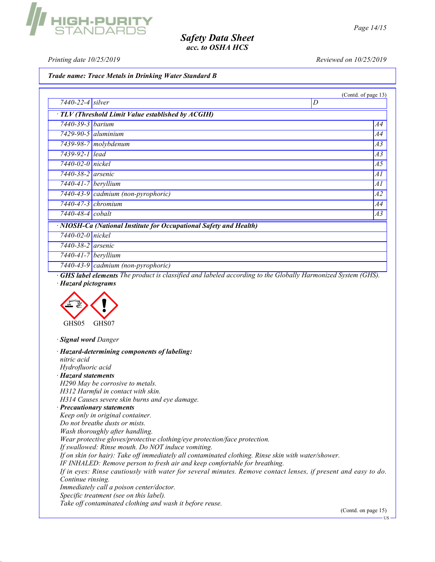IIGH-PURIT<br>Standard:

Printing date 10/25/2019 Reviewed on 10/25/2019

Trade name: Trace Metals in Drinking Water Standard B

|                                                                    | (Contd. of page 13)                      |  |  |
|--------------------------------------------------------------------|------------------------------------------|--|--|
| 7440-22-4 silver                                                   | D                                        |  |  |
| · TLV (Threshold Limit Value established by ACGIH)                 |                                          |  |  |
| 7440-39-3 <i>barium</i>                                            | A4                                       |  |  |
|                                                                    | $7429 - 90 - 5$ aluminium<br>A4          |  |  |
|                                                                    | $7439-98-7$ molybdenum<br>A3             |  |  |
| 7439-92-1 lead                                                     | A3                                       |  |  |
| $7440 - 02 - 0$ nickel                                             | A5                                       |  |  |
| $7440 - 38 - 2$ arsenic                                            | Al                                       |  |  |
| $\sqrt{7440-41-7}$ beryllium                                       | Al                                       |  |  |
|                                                                    | 7440-43-9 cadmium (non-pyrophoric)<br>A2 |  |  |
| $7440 - 47 - 3$ chromium                                           | A4                                       |  |  |
| $7440 - 48 - 4$ cobalt                                             | A3                                       |  |  |
| · NIOSH-Ca (National Institute for Occupational Safety and Health) |                                          |  |  |
| $7440 - 02 - 0$ nickel                                             |                                          |  |  |
| $7440 - 38 - 2$ arsenic                                            |                                          |  |  |
| $7440 - 41 - 7$ beryllium                                          |                                          |  |  |
|                                                                    | $7440-43-9$ cadmium (non-pyrophoric)     |  |  |

· GHS label elements The product is classified and labeled according to the Globally Harmonized System (GHS). · Hazard pictograms



· Signal word Danger

· Hazard-determining components of labeling: nitric acid Hydrofluoric acid · Hazard statements H290 May be corrosive to metals. H312 Harmful in contact with skin. H314 Causes severe skin burns and eye damage. · Precautionary statements Keep only in original container. Do not breathe dusts or mists. Wash thoroughly after handling. Wear protective gloves/protective clothing/eye protection/face protection. If swallowed: Rinse mouth. Do NOT induce vomiting. If on skin (or hair): Take off immediately all contaminated clothing. Rinse skin with water/shower. IF INHALED: Remove person to fresh air and keep comfortable for breathing. If in eyes: Rinse cautiously with water for several minutes. Remove contact lenses, if present and easy to do. Continue rinsing. Immediately call a poison center/doctor. Specific treatment (see on this label). Take off contaminated clothing and wash it before reuse.

(Contd. on page 15)

US